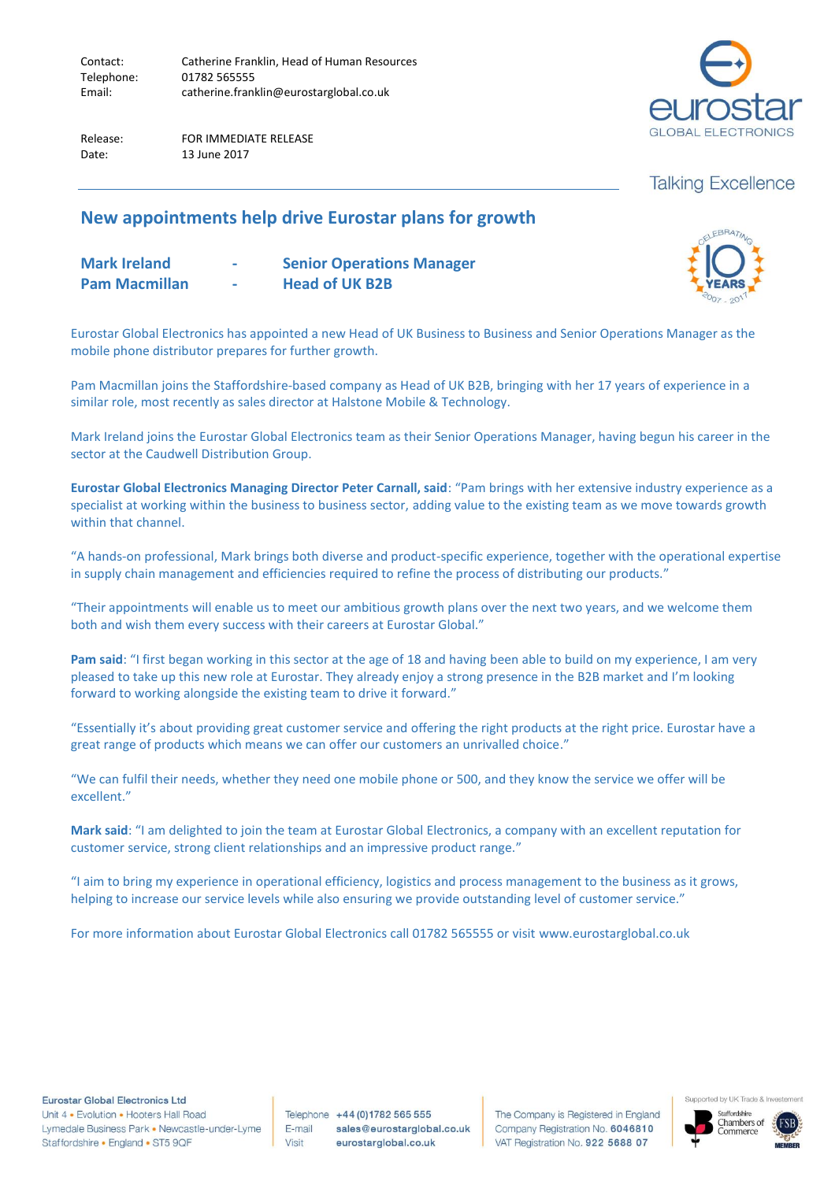Contact: Catherine Franklin, Head of Human Resources Telephone: 01782 565555 Email: catherine.franklin@eurostarglobal.co.uk

Release: FOR IMMEDIATE RELEASE Date: 13 June 2017



# **Talking Excellence**

ELEBRATING

## **New appointments help drive Eurostar plans for growth**

| <b>Mark Ireland</b>  | <b>Contract</b> | <b>Senior Operations Manager</b> | E <b>IC</b>   |
|----------------------|-----------------|----------------------------------|---------------|
| <b>Pam Macmillan</b> | <b>Contract</b> | <b>Head of UK B2B</b>            | $2007 - 2011$ |
|                      |                 |                                  |               |

Eurostar Global Electronics has appointed a new Head of UK Business to Business and Senior Operations Manager as the mobile phone distributor prepares for further growth.

Pam Macmillan joins the Staffordshire-based company as Head of UK B2B, bringing with her 17 years of experience in a similar role, most recently as sales director at Halstone Mobile & Technology.

Mark Ireland joins the Eurostar Global Electronics team as their Senior Operations Manager, having begun his career in the sector at the Caudwell Distribution Group.

**Eurostar Global Electronics Managing Director Peter Carnall, said**: "Pam brings with her extensive industry experience as a specialist at working within the business to business sector, adding value to the existing team as we move towards growth within that channel.

"A hands-on professional, Mark brings both diverse and product-specific experience, together with the operational expertise in supply chain management and efficiencies required to refine the process of distributing our products."

"Their appointments will enable us to meet our ambitious growth plans over the next two years, and we welcome them both and wish them every success with their careers at Eurostar Global."

**Pam said**: "I first began working in this sector at the age of 18 and having been able to build on my experience, I am very pleased to take up this new role at Eurostar. They already enjoy a strong presence in the B2B market and I'm looking forward to working alongside the existing team to drive it forward."

"Essentially it's about providing great customer service and offering the right products at the right price. Eurostar have a great range of products which means we can offer our customers an unrivalled choice."

"We can fulfil their needs, whether they need one mobile phone or 500, and they know the service we offer will be excellent."

**Mark said**: "I am delighted to join the team at Eurostar Global Electronics, a company with an excellent reputation for customer service, strong client relationships and an impressive product range."

"I aim to bring my experience in operational efficiency, logistics and process management to the business as it grows, helping to increase our service levels while also ensuring we provide outstanding level of customer service."

For more information about Eurostar Global Electronics call 01782 565555 or visit www.eurostarglobal.co.uk

**Eurostar Global Electronics Ltd** 

Unit 4 . Evolution . Hooters Hall Road Lymedale Business Park . Newcastle-under-Lyme Staffordshire • England • ST5 9QF

Telephone +44 (0) 1782 565 555 E-mail sales@eurostarglobal.co.uk Visit eurostarglobal.co.uk

The Company is Registered in England Company Registration No. 6046810 VAT Registration No. 922 5688 07



Supported by UK Trade & In